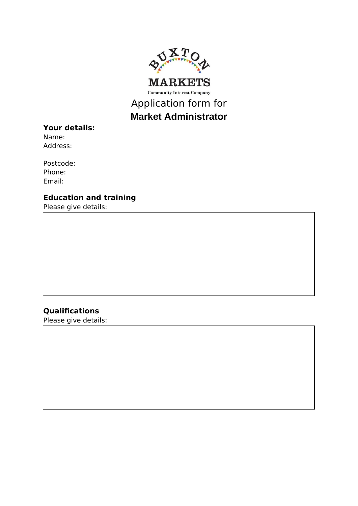

# **Market Administrator**

# **Your details:**

Name: Address:

Postcode: Phone: Email:

# **Education and training**

Please give details:

# **Qualifications**

Please give details: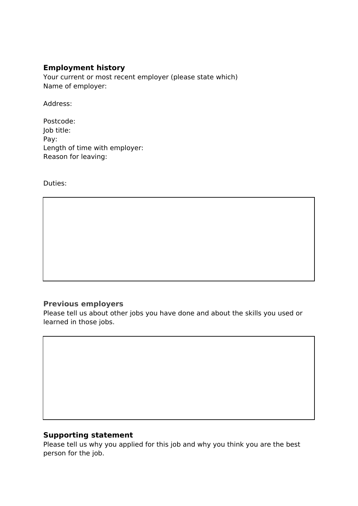## **Employment history**

Your current or most recent employer (please state which) Name of employer:

Address:

Postcode: Job title: Pay: Length of time with employer: Reason for leaving:

Duties:

## **Previous employers**

Please tell us about other jobs you have done and about the skills you used or learned in those jobs.

#### **Supporting statement**

Please tell us why you applied for this job and why you think you are the best person for the job.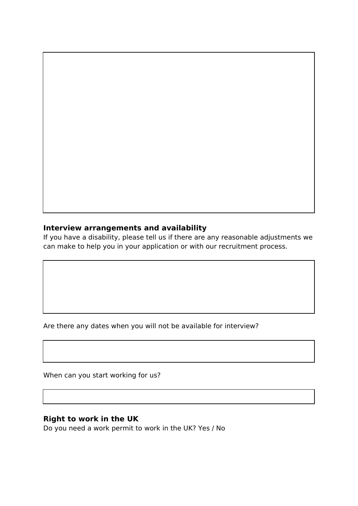#### **Interview arrangements and availability**

If you have a disability, please tell us if there are any reasonable adjustments we can make to help you in your application or with our recruitment process.

Are there any dates when you will not be available for interview?

When can you start working for us?

#### **Right to work in the UK**

Do you need a work permit to work in the UK? Yes / No